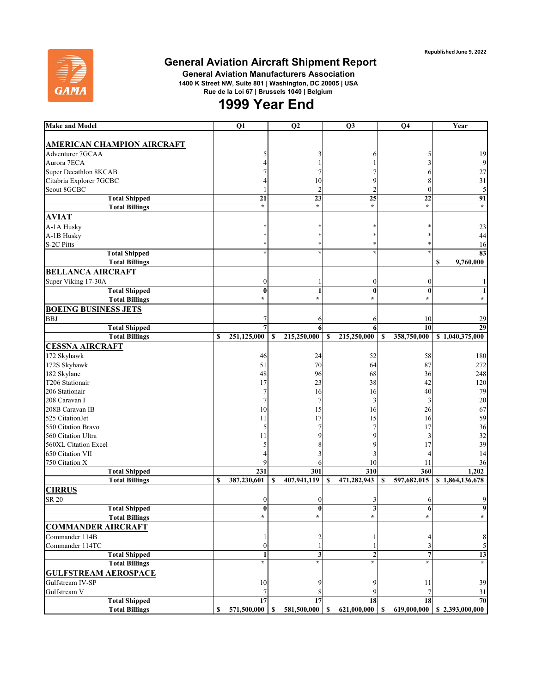

## **General Aviation Aircraft Shipment Report**

 **General Aviation Manufacturers Association 1400 K Street NW, Suite 801 | Washington, DC 20005 | USA Rue de la Loi 67 | Brussels 1040 | Belgium**

## **1999 Year End**

| <b>Make and Model</b>             | Q1                | Q <sub>2</sub>    | Q <sub>3</sub>    | Q <sub>4</sub>              | Year                         |
|-----------------------------------|-------------------|-------------------|-------------------|-----------------------------|------------------------------|
|                                   |                   |                   |                   |                             |                              |
| <b>AMERICAN CHAMPION AIRCRAFT</b> |                   |                   |                   |                             |                              |
| Adventurer 7GCAA                  |                   | 3                 | h                 |                             | 19                           |
| Aurora 7ECA                       |                   |                   |                   |                             | $\overline{9}$               |
| Super Decathlon 8KCAB             |                   |                   |                   | 6                           | $27\,$                       |
| Citabria Explorer 7GCBC           |                   | 10                | 9                 |                             | 31                           |
| Scout 8GCBC                       |                   | $\mathbf{2}$      | $\overline{2}$    | $\left($                    | $\sqrt{5}$                   |
| <b>Total Shipped</b>              | 21                | $\overline{23}$   | 25                | 22                          | 91                           |
| <b>Total Billings</b>             | $\star$           | $\star$           | $\star$           | $\star$                     | $\star$                      |
| <b>AVIAT</b>                      |                   |                   |                   |                             |                              |
| A-1A Husky                        |                   |                   |                   |                             | 23                           |
| A-1B Husky                        |                   |                   |                   |                             | 44                           |
| S-2C Pitts                        |                   |                   |                   |                             | 16                           |
| <b>Total Shipped</b>              |                   | $\star$           | $\star$           | 大                           | 83                           |
| <b>Total Billings</b>             |                   |                   |                   |                             | 9,760,000<br>\$              |
| <b>BELLANCA AIRCRAFT</b>          |                   |                   |                   |                             |                              |
| Super Viking 17-30A               | $\boldsymbol{0}$  | 1                 | $\boldsymbol{0}$  | 0                           | 1                            |
| <b>Total Shipped</b>              | $\bf{0}$          | $\mathbf{1}$      | $\bf{0}$          | $\bf{0}$                    | $\mathbf{1}$                 |
| <b>Total Billings</b>             | $\star$           | $\star$           | $\star$           | $\star$                     | $\star$                      |
|                                   |                   |                   |                   |                             |                              |
| <b>BOEING BUSINESS JETS</b>       |                   |                   |                   |                             |                              |
| <b>BBJ</b>                        |                   | 6                 | 6                 | 10                          | 29                           |
| <b>Total Shipped</b>              | 7                 | 6                 | 6                 | 10                          | 29                           |
| <b>Total Billings</b>             | \$<br>251,125,000 | 215,250,000<br>\$ | 215,250,000<br>\$ | 358,750,000<br>\$           | \$1,040,375,000              |
| <b>CESSNA AIRCRAFT</b>            |                   |                   |                   |                             |                              |
| 172 Skyhawk                       | 46                | 24                | 52                | 58                          | 180                          |
| 172S Skyhawk                      | 51                | 70                | 64                | 87                          | 272                          |
| 182 Skylane                       | 48                | 96                | 68                | 36                          | 248                          |
| T206 Stationair                   | 17                | 23                | 38                | 42                          | 120                          |
| 206 Stationair                    | 7                 | 16                | 16                | 40                          | 79                           |
| 208 Caravan I                     |                   | 7                 | 3                 | 3                           | $20\,$                       |
| 208B Caravan IB                   | 10                | 15                | 16                | 26                          | 67                           |
| 525 CitationJet                   | 11                | 17                | 15                | 16                          | 59                           |
| 550 Citation Bravo                | 5                 |                   |                   | 17                          | 36                           |
| 560 Citation Ultra                | 11                | 9                 | 9                 | 3                           | 32                           |
| 560XL Citation Excel              |                   | 8                 |                   | 17                          | 39                           |
| 650 Citation VII                  |                   | 3                 | 3                 |                             | 14                           |
| 750 Citation X                    |                   | 6                 | 10                | 11                          | 36                           |
| <b>Total Shipped</b>              | 231               | 301               | 310               | 360                         | 1,202                        |
| <b>Total Billings</b>             | 387,230,601<br>\$ | 407,941,119<br>\$ | 471,282,943<br>S  | \$<br>597,682,015           | $\overline{8}$ 1,864,136,678 |
| <b>CIRRUS</b>                     |                   |                   |                   |                             |                              |
| SR 20                             | $\left($          | 0                 |                   |                             | 9                            |
| <b>Total Shipped</b>              | $\bf{0}$          | $\bf{0}$          | 3                 | 6                           | 9                            |
| Total Billings                    |                   | $\ast$            |                   | ×                           |                              |
| <b>COMMANDER AIRCRAFT</b>         |                   |                   |                   |                             |                              |
| Commander 114B                    |                   | 2                 |                   | 4                           | $\,8\,$                      |
| Commander 114TC                   | $\theta$          | 1                 |                   | 3                           | 5                            |
| <b>Total Shipped</b>              |                   | 3                 | $\mathbf{2}$      | 7                           | 13                           |
| <b>Total Billings</b>             | $\star$           | $\star$           | $\star$           | $\star$                     | $\star$                      |
| <b>GULFSTREAM AEROSPACE</b>       |                   |                   |                   |                             |                              |
|                                   |                   |                   |                   |                             |                              |
| Gulfstream IV-SP                  | 10                | 9                 | 9                 | 11                          | 39                           |
| Gulfstream V                      |                   | 8                 |                   |                             | 31                           |
| <b>Total Shipped</b>              | 17                | 17                | 18                | 18                          | 70                           |
| <b>Total Billings</b>             | 571,500,000<br>S  | 581,500,000<br>S  | 621,000,000<br>S  | 619,000,000<br>$\mathbf{s}$ | \$2,393,000,000              |